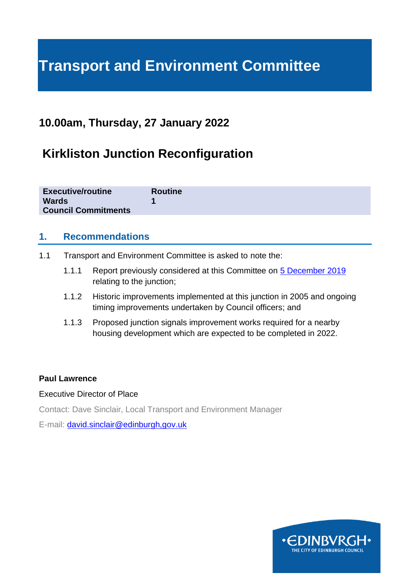# **Transport and Environment Committee**

### **10.00am, Thursday, 27 January 2022**

# **Kirkliston Junction Reconfiguration**

| <b>Executive/routine</b>   | <b>Routine</b> |
|----------------------------|----------------|
| <b>Wards</b>               |                |
| <b>Council Commitments</b> |                |

#### **1. Recommendations**

- 1.1 Transport and Environment Committee is asked to note the:
	- 1.1.1 Report previously considered at this Committee on [5 December 2019](https://democracy.edinburgh.gov.uk/documents/s11592/7.4%20-%20Kirkliston%20and%20Queensferry%20Traffic%20Active%20travel%20study%20with%20apps.pdf) relating to the junction;
	- 1.1.2 Historic improvements implemented at this junction in 2005 and ongoing timing improvements undertaken by Council officers; and
	- 1.1.3 Proposed junction signals improvement works required for a nearby housing development which are expected to be completed in 2022.

#### **Paul Lawrence**

#### Executive Director of Place

Contact: Dave Sinclair, Local Transport and Environment Manager

E-mail: [david.sinclair@edinburgh,gov.uk](mailto:david.sinclair@edinburgh,gov.uk)

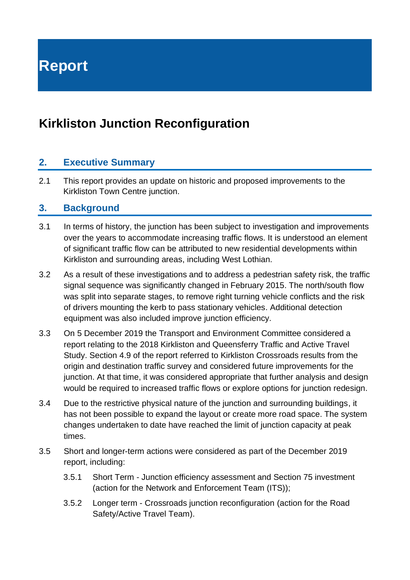**Report**

### **Kirkliston Junction Reconfiguration**

#### **2. Executive Summary**

2.1 This report provides an update on historic and proposed improvements to the Kirkliston Town Centre junction.

#### **3. Background**

- 3.1 In terms of history, the junction has been subject to investigation and improvements over the years to accommodate increasing traffic flows. It is understood an element of significant traffic flow can be attributed to new residential developments within Kirkliston and surrounding areas, including West Lothian.
- 3.2 As a result of these investigations and to address a pedestrian safety risk, the traffic signal sequence was significantly changed in February 2015. The north/south flow was split into separate stages, to remove right turning vehicle conflicts and the risk of drivers mounting the kerb to pass stationary vehicles. Additional detection equipment was also included improve junction efficiency.
- 3.3 On 5 December 2019 the Transport and Environment Committee considered a report relating to the 2018 Kirkliston and Queensferry Traffic and Active Travel Study. Section 4.9 of the report referred to Kirkliston Crossroads results from the origin and destination traffic survey and considered future improvements for the junction. At that time, it was considered appropriate that further analysis and design would be required to increased traffic flows or explore options for junction redesign.
- 3.4 Due to the restrictive physical nature of the junction and surrounding buildings, it has not been possible to expand the layout or create more road space. The system changes undertaken to date have reached the limit of junction capacity at peak times.
- 3.5 Short and longer-term actions were considered as part of the December 2019 report, including:
	- 3.5.1 Short Term Junction efficiency assessment and Section 75 investment (action for the Network and Enforcement Team (ITS));
	- 3.5.2 Longer term Crossroads junction reconfiguration (action for the Road Safety/Active Travel Team).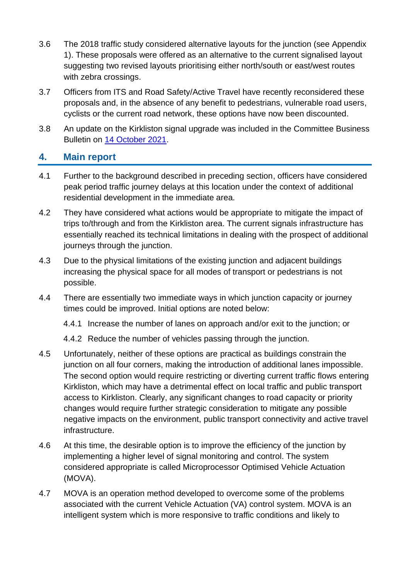- 3.6 The 2018 traffic study considered alternative layouts for the junction (see Appendix 1). These proposals were offered as an alternative to the current signalised layout suggesting two revised layouts prioritising either north/south or east/west routes with zebra crossings.
- 3.7 Officers from ITS and Road Safety/Active Travel have recently reconsidered these proposals and, in the absence of any benefit to pedestrians, vulnerable road users, cyclists or the current road network, these options have now been discounted.
- 3.8 An update on the Kirkliston signal upgrade was included in the Committee Business Bulletin on [14 October 2021.](https://democracy.edinburgh.gov.uk/documents/s39337/6.1%20-%20Business%20bulletin%20141021_Final.pdf)

#### **4. Main report**

- 4.1 Further to the background described in preceding section, officers have considered peak period traffic journey delays at this location under the context of additional residential development in the immediate area.
- 4.2 They have considered what actions would be appropriate to mitigate the impact of trips to/through and from the Kirkliston area. The current signals infrastructure has essentially reached its technical limitations in dealing with the prospect of additional journeys through the junction.
- 4.3 Due to the physical limitations of the existing junction and adjacent buildings increasing the physical space for all modes of transport or pedestrians is not possible.
- 4.4 There are essentially two immediate ways in which junction capacity or journey times could be improved. Initial options are noted below:

4.4.1 Increase the number of lanes on approach and/or exit to the junction; or

4.4.2 Reduce the number of vehicles passing through the junction.

- 4.5 Unfortunately, neither of these options are practical as buildings constrain the junction on all four corners, making the introduction of additional lanes impossible. The second option would require restricting or diverting current traffic flows entering Kirkliston, which may have a detrimental effect on local traffic and public transport access to Kirkliston. Clearly, any significant changes to road capacity or priority changes would require further strategic consideration to mitigate any possible negative impacts on the environment, public transport connectivity and active travel infrastructure.
- 4.6 At this time, the desirable option is to improve the efficiency of the junction by implementing a higher level of signal monitoring and control. The system considered appropriate is called Microprocessor Optimised Vehicle Actuation (MOVA).
- 4.7 MOVA is an operation method developed to overcome some of the problems associated with the current Vehicle Actuation (VA) control system. MOVA is an intelligent system which is more responsive to traffic conditions and likely to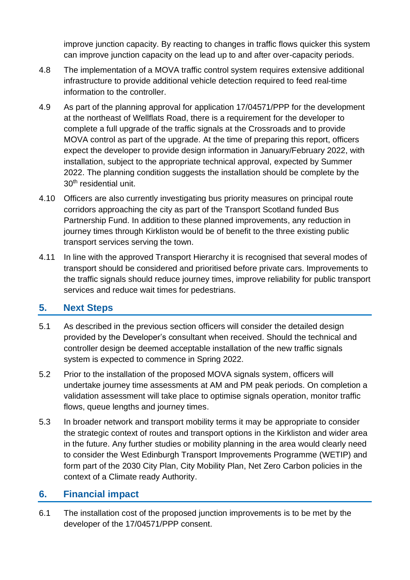improve junction capacity. By reacting to changes in traffic flows quicker this system can improve junction capacity on the lead up to and after over-capacity periods.

- 4.8 The implementation of a MOVA traffic control system requires extensive additional infrastructure to provide additional vehicle detection required to feed real-time information to the controller.
- 4.9 As part of the planning approval for application 17/04571/PPP for the development at the northeast of Wellflats Road, there is a requirement for the developer to complete a full upgrade of the traffic signals at the Crossroads and to provide MOVA control as part of the upgrade. At the time of preparing this report, officers expect the developer to provide design information in January/February 2022, with installation, subject to the appropriate technical approval, expected by Summer 2022. The planning condition suggests the installation should be complete by the 30<sup>th</sup> residential unit.
- 4.10 Officers are also currently investigating bus priority measures on principal route corridors approaching the city as part of the Transport Scotland funded Bus Partnership Fund. In addition to these planned improvements, any reduction in journey times through Kirkliston would be of benefit to the three existing public transport services serving the town.
- 4.11 In line with the approved Transport Hierarchy it is recognised that several modes of transport should be considered and prioritised before private cars. Improvements to the traffic signals should reduce journey times, improve reliability for public transport services and reduce wait times for pedestrians.

### **5. Next Steps**

- 5.1 As described in the previous section officers will consider the detailed design provided by the Developer's consultant when received. Should the technical and controller design be deemed acceptable installation of the new traffic signals system is expected to commence in Spring 2022.
- 5.2 Prior to the installation of the proposed MOVA signals system, officers will undertake journey time assessments at AM and PM peak periods. On completion a validation assessment will take place to optimise signals operation, monitor traffic flows, queue lengths and journey times.
- 5.3 In broader network and transport mobility terms it may be appropriate to consider the strategic context of routes and transport options in the Kirkliston and wider area in the future. Any further studies or mobility planning in the area would clearly need to consider the West Edinburgh Transport Improvements Programme (WETIP) and form part of the 2030 City Plan, City Mobility Plan, Net Zero Carbon policies in the context of a Climate ready Authority.

#### **6. Financial impact**

6.1 The installation cost of the proposed junction improvements is to be met by the developer of the 17/04571/PPP consent.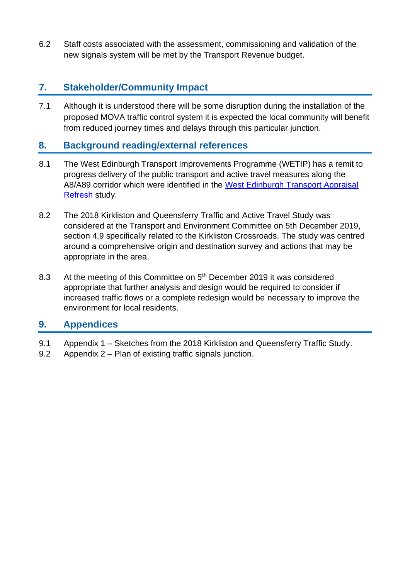6.2 Staff costs associated with the assessment, commissioning and validation of the new signals system will be met by the Transport Revenue budget.

### **7. Stakeholder/Community Impact**

7.1 Although it is understood there will be some disruption during the installation of the proposed MOVA traffic control system it is expected the local community will benefit from reduced journey times and delays through this particular junction.

#### **8. Background reading/external references**

- 8.1 The West Edinburgh Transport Improvements Programme (WETIP) has a remit to progress delivery of the public transport and active travel measures along the A8/A89 corridor which were identified in the [West Edinburgh Transport Appraisal](https://www.edinburgh.gov.uk/downloads/file/25278/west-edinburgh-transport-appraisal-refresh-report-december-2016)  [Refresh](https://www.edinburgh.gov.uk/downloads/file/25278/west-edinburgh-transport-appraisal-refresh-report-december-2016) study.
- 8.2 The 2018 Kirkliston and Queensferry Traffic and Active Travel Study was considered at the Transport and Environment Committee on 5th December 2019, section 4.9 specifically related to the Kirkliston Crossroads. The study was centred around a comprehensive origin and destination survey and actions that may be appropriate in the area.
- 8.3 At the meeting of this Committee on 5<sup>th</sup> December 2019 it was considered appropriate that further analysis and design would be required to consider if increased traffic flows or a complete redesign would be necessary to improve the environment for local residents.

#### **9. Appendices**

- 9.1 Appendix 1 Sketches from the 2018 Kirkliston and Queensferry Traffic Study.
- 9.2 Appendix 2 Plan of existing traffic signals junction.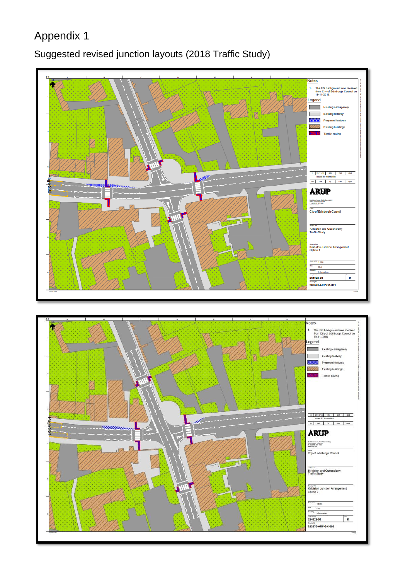## Appendix 1

### Suggested revised junction layouts (2018 Traffic Study)